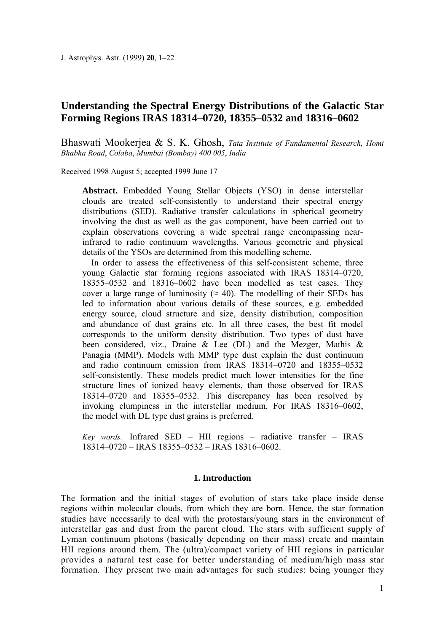# **Understanding the Spectral Energy Distributions of the Galactic Star Forming Regions IRAS 18314–0720, 18355–0532 and 18316–0602**

Bhaswati Mookerjea & S. K. Ghosh, *Tata Institute of Fundamental Research, Homi Bhabha Road*, *Colaba*, *Mumbai (Bombay) 400 005*, *India* 

Received 1998 August 5; accepted 1999 June 17

**Abstract.** Embedded Young Stellar Objects (YSO) in dense interstellar clouds are treated self-consistently to understand their spectral energy distributions (SED). Radiative transfer calculations in spherical geometry involving the dust as well as the gas component, have been carried out to explain observations covering a wide spectral range encompassing nearinfrared to radio continuum wavelengths. Various geometric and physical details of the YSOs are determined from this modelling scheme.

In order to assess the effectiveness of this self-consistent scheme, three young Galactic star forming regions associated with IRAS 18314–0720, 18355–0532 and 18316–0602 have been modelled as test cases. They cover a large range of luminosity ( $\approx$  40). The modelling of their SEDs has led to information about various details of these sources, e.g. embedded energy source, cloud structure and size, density distribution, composition and abundance of dust grains etc. In all three cases, the best fit model corresponds to the uniform density distribution. Two types of dust have been considered, viz., Draine & Lee (DL) and the Mezger, Mathis & Panagia (MMP). Models with MMP type dust explain the dust continuum and radio continuum emission from IRAS 18314–0720 and 18355–0532 self-consistently. These models predict much lower intensities for the fine structure lines of ionized heavy elements, than those observed for IRAS 18314–0720 and 18355–0532. This discrepancy has been resolved by invoking clumpiness in the interstellar medium. For IRAS 18316–0602, the model with DL type dust grains is preferred.

*Key words.* Infrared SED – HII regions – radiative transfer – IRAS 18314–0720 – IRAS 18355–0532 – IRAS 18316–0602.

# **1. Introduction**

The formation and the initial stages of evolution of stars take place inside dense regions within molecular clouds, from which they are born. Hence, the star formation studies have necessarily to deal with the protostars/young stars in the environment of interstellar gas and dust from the parent cloud. The stars with sufficient supply of Lyman continuum photons (basically depending on their mass) create and maintain HII regions around them. The (ultra)/compact variety of HII regions in particular provides a natural test case for better understanding of medium/high mass star formation. They present two main advantages for such studies: being younger they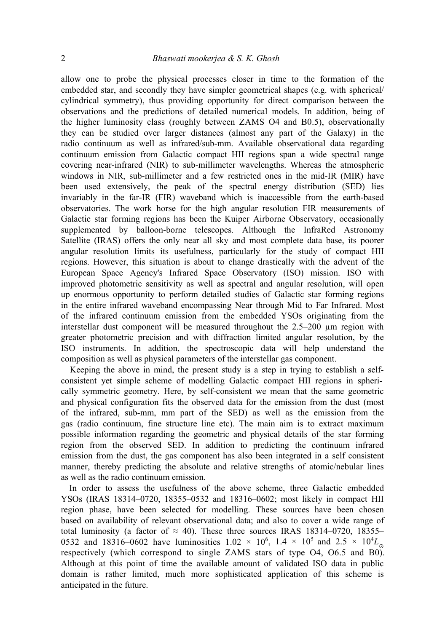allow one to probe the physical processes closer in time to the formation of the embedded star, and secondly they have simpler geometrical shapes (e.g. with spherical/ cylindrical symmetry), thus providing opportunity for direct comparison between the observations and the predictions of detailed numerical models. In addition, being of the higher luminosity class (roughly between ZAMS O4 and B0.5), observationally they can be studied over larger distances (almost any part of the Galaxy) in the radio continuum as well as infrared/sub-mm. Available observational data regarding continuum emission from Galactic compact HII regions span a wide spectral range covering near-infrared (NIR) to sub-millimeter wavelengths. Whereas the atmospheric windows in NIR, sub-millimeter and a few restricted ones in the mid-IR (MIR) have been used extensively, the peak of the spectral energy distribution (SED) lies invariably in the far-IR (FIR) waveband which is inaccessible from the earth-based observatories. The work horse for the high angular resolution FIR measurements of Galactic star forming regions has been the Kuiper Airborne Observatory, occasionally supplemented by balloon-borne telescopes. Although the InfraRed Astronomy Satellite (IRAS) offers the only near all sky and most complete data base, its poorer angular resolution limits its usefulness, particularly for the study of compact HII regions. However, this situation is about to change drastically with the advent of the European Space Agency's Infrared Space Observatory (ISO) mission. ISO with improved photometric sensitivity as well as spectral and angular resolution, will open up enormous opportunity to perform detailed studies of Galactic star forming regions in the entire infrared waveband encompassing Near through Mid to Far Infrared. Most of the infrared continuum emission from the embedded YSOs originating from the interstellar dust component will be measured throughout the 2.5–200 µm region with greater photometric precision and with diffraction limited angular resolution, by the ISO instruments. In addition, the spectroscopic data will help understand the composition as well as physical parameters of the interstellar gas component.

Keeping the above in mind, the present study is a step in trying to establish a selfconsistent yet simple scheme of modelling Galactic compact HII regions in spherically symmetric geometry. Here, by self-consistent we mean that the same geometric and physical configuration fits the observed data for the emission from the dust (most of the infrared, sub-mm, mm part of the SED) as well as the emission from the gas (radio continuum, fine structure line etc). The main aim is to extract maximum possible information regarding the geometric and physical details of the star forming region from the observed SED. In addition to predicting the continuum infrared emission from the dust, the gas component has also been integrated in a self consistent manner, thereby predicting the absolute and relative strengths of atomic/nebular lines as well as the radio continuum emission.

In order to assess the usefulness of the above scheme, three Galactic embedded YSOs (IRAS 18314–0720, 18355–0532 and 18316–0602; most likely in compact HII region phase, have been selected for modelling. These sources have been chosen based on availability of relevant observational data; and also to cover a wide range of total luminosity (a factor of  $\approx$  40). These three sources IRAS 18314–0720, 18355– 0532 and 18316–0602 have luminosities  $1.02 \times 10^6$ ,  $1.4 \times 10^5$  and  $2.5 \times 10^4 L_{\odot}$ respectively (which correspond to single ZAMS stars of type O4, O6.5 and B0). Although at this point of time the available amount of validated ISO data in public domain is rather limited, much more sophisticated application of this scheme is anticipated in the future.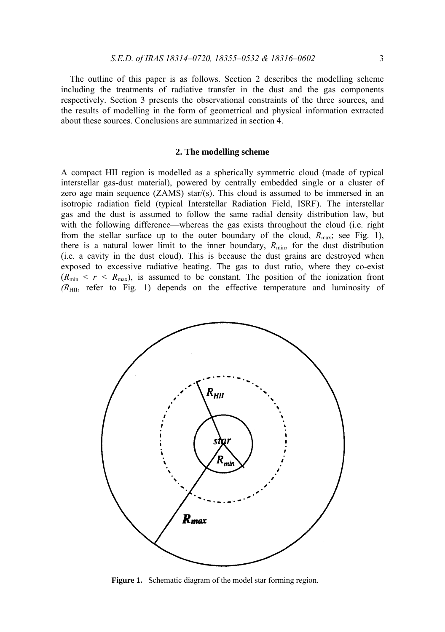The outline of this paper is as follows. Section 2 describes the modelling scheme including the treatments of radiative transfer in the dust and the gas components respectively. Section 3 presents the observational constraints of the three sources, and the results of modelling in the form of geometrical and physical information extracted about these sources. Conclusions are summarized in section 4.

# **2. The modelling scheme**

A compact HII region is modelled as a spherically symmetric cloud (made of typical interstellar gas-dust material), powered by centrally embedded single or a cluster of zero age main sequence  $(ZAMS)$  star/(s). This cloud is assumed to be immersed in an isotropic radiation field (typical Interstellar Radiation Field, ISRF). The interstellar gas and the dust is assumed to follow the same radial density distribution law, but with the following difference—whereas the gas exists throughout the cloud (i.e. right from the stellar surface up to the outer boundary of the cloud,  $R_{\text{max}}$ ; see Fig. 1), there is a natural lower limit to the inner boundary,  $R_{\text{min}}$ , for the dust distribution (i.e. a cavity in the dust cloud). This is because the dust grains are destroyed when exposed to excessive radiative heating. The gas to dust ratio, where they co-exist  $(R_{\text{min}} < r < R_{\text{max}})$ , is assumed to be constant. The position of the ionization front *(R*HII, refer to Fig. 1) depends on the effective temperature and luminosity of



Figure 1. Schematic diagram of the model star forming region.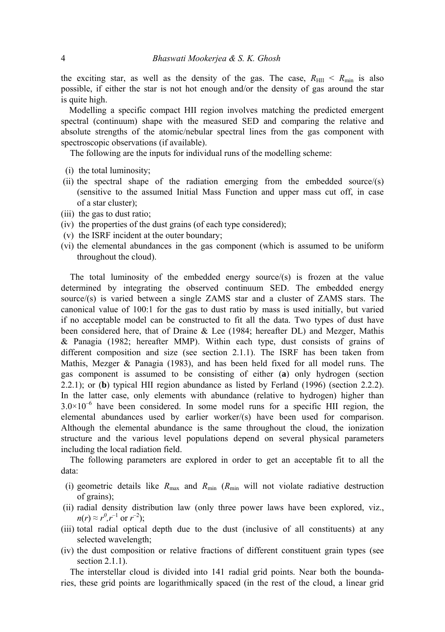the exciting star, as well as the density of the gas. The case,  $R_{\text{HII}} < R_{\text{min}}$  is also possible, if either the star is not hot enough and/or the density of gas around the star is quite high.

Modelling a specific compact HII region involves matching the predicted emergent spectral (continuum) shape with the measured SED and comparing the relative and absolute strengths of the atomic/nebular spectral lines from the gas component with spectroscopic observations (if available).

The following are the inputs for individual runs of the modelling scheme:

- (i) the total luminosity;
- (ii) the spectral shape of the radiation emerging from the embedded source/(s) (sensitive to the assumed Initial Mass Function and upper mass cut off, in case of a star cluster);
- (iii) the gas to dust ratio;
- (iv) the properties of the dust grains (of each type considered);
- (v) the ISRF incident at the outer boundary;
- (vi) the elemental abundances in the gas component (which is assumed to be uniform throughout the cloud).

The total luminosity of the embedded energy source/(s) is frozen at the value determined by integrating the observed continuum SED. The embedded energy source/ $(s)$  is varied between a single ZAMS star and a cluster of ZAMS stars. The canonical value of 100:1 for the gas to dust ratio by mass is used initially, but varied if no acceptable model can be constructed to fit all the data. Two types of dust have been considered here, that of Draine & Lee (1984; hereafter DL) and Mezger, Mathis & Panagia (1982; hereafter MMP). Within each type, dust consists of grains of different composition and size (see section 2.1.1). The ISRF has been taken from Mathis, Mezger & Panagia (1983), and has been held fixed for all model runs. The gas component is assumed to be consisting of either (**a**) only hydrogen (section 2.2.1); or (**b**) typical HII region abundance as listed by Ferland (1996) (section 2.2.2). In the latter case, only elements with abundance (relative to hydrogen) higher than  $3.0\times10^{-6}$  have been considered. In some model runs for a specific HII region, the elemental abundances used by earlier worker/(s) have been used for comparison. Although the elemental abundance is the same throughout the cloud, the ionization structure and the various level populations depend on several physical parameters including the local radiation field.

The following parameters are explored in order to get an acceptable fit to all the data:

- (i) geometric details like  $R_{\text{max}}$  and  $R_{\text{min}}$  ( $R_{\text{min}}$  will not violate radiative destruction of grains);
- (ii) radial density distribution law (only three power laws have been explored, viz.,  $n(r) \approx r^0, r^{-1}$  or  $r^{-2}$ );
- (iii) total radial optical depth due to the dust (inclusive of all constituents) at any selected wavelength;
- (iv) the dust composition or relative fractions of different constituent grain types (see section 2.1.1).

The interstellar cloud is divided into 141 radial grid points. Near both the boundaries, these grid points are logarithmically spaced (in the rest of the cloud, a linear grid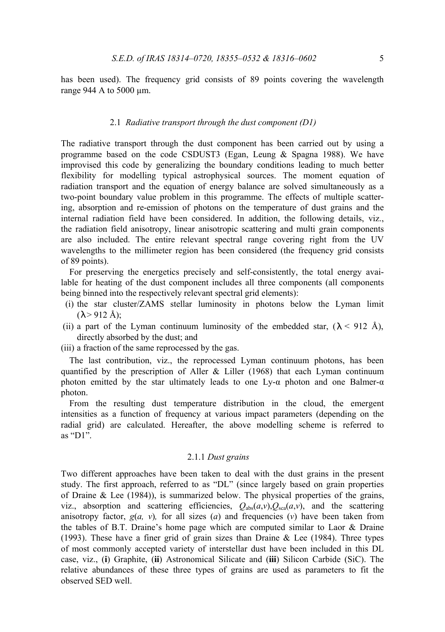has been used). The frequency grid consists of 89 points covering the wavelength range 944 A to 5000 um.

# 2.1 *Radiative transport through the dust component (D1)*

The radiative transport through the dust component has been carried out by using a programme based on the code CSDUST3 (Egan, Leung & Spagna 1988). We have improvised this code by generalizing the boundary conditions leading to much better flexibility for modelling typical astrophysical sources. The moment equation of radiation transport and the equation of energy balance are solved simultaneously as a two-point boundary value problem in this programme. The effects of multiple scattering, absorption and re-emission of photons on the temperature of dust grains and the internal radiation field have been considered. In addition, the following details, viz., the radiation field anisotropy, linear anisotropic scattering and multi grain components are also included. The entire relevant spectral range covering right from the UV wavelengths to the millimeter region has been considered (the frequency grid consists of 89 points).

For preserving the energetics precisely and self-consistently, the total energy available for heating of the dust component includes all three components (all components being binned into the respectively relevant spectral grid elements):

- (i) the star cluster/ZAMS stellar luminosity in photons below the Lyman limit  $(\lambda > 912 \text{ Å})$ ;
- (ii) a part of the Lyman continuum luminosity of the embedded star,  $(\lambda < 912 \text{ Å})$ , directly absorbed by the dust; and

(iii) a fraction of the same reprocessed by the gas.

The last contribution, viz., the reprocessed Lyman continuum photons, has been quantified by the prescription of Aller & Liller (1968) that each Lyman continuum photon emitted by the star ultimately leads to one Ly- $\alpha$  photon and one Balmer- $\alpha$ photon.

From the resulting dust temperature distribution in the cloud, the emergent intensities as a function of frequency at various impact parameters (depending on the radial grid) are calculated. Hereafter, the above modelling scheme is referred to as " $DI"$ .

### 2.1.1 *Dust grains*

Two different approaches have been taken to deal with the dust grains in the present study. The first approach, referred to as "DL" (since largely based on grain properties of Draine  $\&$  Lee (1984)), is summarized below. The physical properties of the grains, viz., absorption and scattering efficiencies,  $Q_{\text{abs}}(a, v), Q_{\text{sea}}(a, v)$ , and the scattering anisotropy factor,  $g(a, v)$ , for all sizes  $(a)$  and frequencies  $(v)$  have been taken from the tables of B.T. Draine's home page which are computed similar to Laor & Draine (1993). These have a finer grid of grain sizes than Draine & Lee (1984). Three types of most commonly accepted variety of interstellar dust have been included in this DL case, viz., (**i**) Graphite, (**ii**) Astronomical Silicate and (**iii**) Silicon Carbide (SiC). The relative abundances of these three types of grains are used as parameters to fit the observed SED well.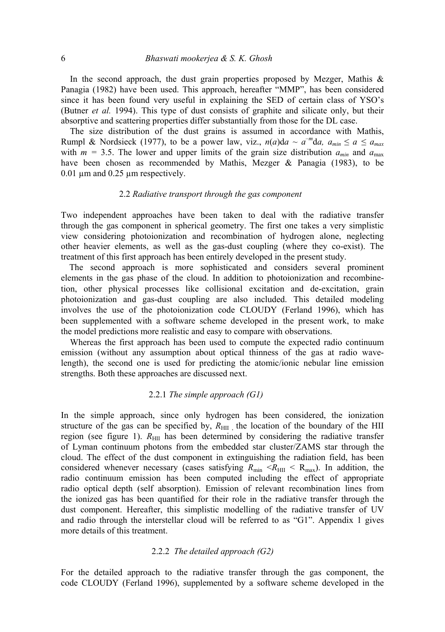In the second approach, the dust grain properties proposed by Mezger, Mathis  $\&$ Panagia (1982) have been used. This approach, hereafter "MMP", has been considered since it has been found very useful in explaining the SED of certain class of YSO's (Butner *et al.* 1994). This type of dust consists of graphite and silicate only, but their absorptive and scattering properties differ substantially from those for the DL case.

The size distribution of the dust grains is assumed in accordance with Mathis, Rumpl & Nordsieck (1977), to be a power law, viz.,  $n(a)da \sim a^{-m}da$ ,  $a_{min} \le a \le a_{max}$ with  $m = 3.5$ . The lower and upper limits of the grain size distribution  $a_{min}$  and  $a_{max}$ have been chosen as recommended by Mathis, Mezger & Panagia (1983), to be 0.01 µm and 0.25 µm respectively.

# 2.2 *Radiative transport through the gas component*

Two independent approaches have been taken to deal with the radiative transfer through the gas component in spherical geometry. The first one takes a very simplistic view considering photoionization and recombination of hydrogen alone, neglecting other heavier elements, as well as the gas-dust coupling (where they co-exist). The treatment of this first approach has been entirely developed in the present study.

The second approach is more sophisticated and considers several prominent elements in the gas phase of the cloud. In addition to photoionization and recombinetion, other physical processes like collisional excitation and de-excitation, grain photoionization and gas-dust coupling are also included. This detailed modeling involves the use of the photoionization code CLOUDY (Ferland 1996), which has been supplemented with a software scheme developed in the present work, to make the model predictions more realistic and easy to compare with observations.

Whereas the first approach has been used to compute the expected radio continuum emission (without any assumption about optical thinness of the gas at radio wavelength), the second one is used for predicting the atomic/ionic nebular line emission strengths. Both these approaches are discussed next.

# 2.2.1 *The simple approach (G1)*

In the simple approach, since only hydrogen has been considered, the ionization structure of the gas can be specified by,  $R_{\text{HII}}$ , the location of the boundary of the HII region (see figure 1).  $R_{\text{HII}}$  has been determined by considering the radiative transfer of Lyman continuum photons from the embedded star cluster/ZAMS star through the cloud. The effect of the dust component in extinguishing the radiation field, has been considered whenever necessary (cases satisfying  $R_{min} < R_{HII} < R_{max}$ ). In addition, the radio continuum emission has been computed including the effect of appropriate radio optical depth (self absorption). Emission of relevant recombination lines from the ionized gas has been quantified for their role in the radiative transfer through the dust component. Hereafter, this simplistic modelling of the radiative transfer of UV and radio through the interstellar cloud will be referred to as "G1". Appendix 1 gives more details of this treatment.

# 2.2.2 *The detailed approach (G2)*

For the detailed approach to the radiative transfer through the gas component, the code CLOUDY (Ferland 1996), supplemented by a software scheme developed in the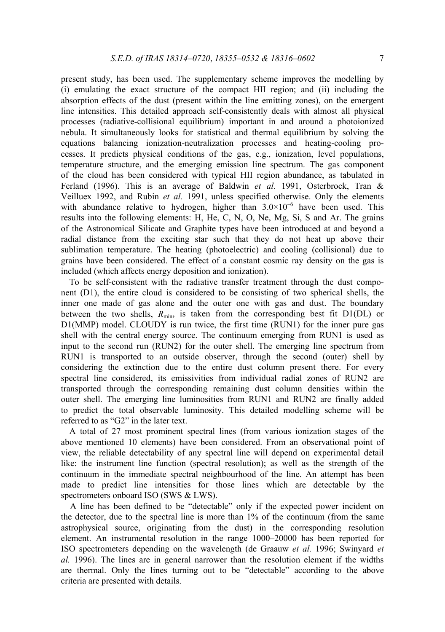present study, has been used. The supplementary scheme improves the modelling by (i) emulating the exact structure of the compact HII region; and (ii) including the absorption effects of the dust (present within the line emitting zones), on the emergent line intensities. This detailed approach self-consistently deals with almost all physical processes (radiative-collisional equilibrium) important in and around a photoionized nebula. It simultaneously looks for statistical and thermal equilibrium by solving the equations balancing ionization-neutralization processes and heating-cooling processes. It predicts physical conditions of the gas, e.g., ionization, level populations, temperature structure, and the emerging emission line spectrum. The gas component of the cloud has been considered with typical HII region abundance, as tabulated in Ferland (1996). This is an average of Baldwin *et al.* 1991, Osterbrock, Tran & Veilluex 1992, and Rubin *et al.* 1991, unless specified otherwise. Only the elements with abundance relative to hydrogen, higher than  $3.0 \times 10^{-6}$  have been used. This results into the following elements: H, He, C, N, O, Ne, Mg, Si, S and Ar. The grains of the Astronomical Silicate and Graphite types have been introduced at and beyond a radial distance from the exciting star such that they do not heat up above their sublimation temperature. The heating (photoelectric) and cooling (collisional) due to grains have been considered. The effect of a constant cosmic ray density on the gas is included (which affects energy deposition and ionization).

To be self-consistent with the radiative transfer treatment through the dust component (D1), the entire cloud is considered to be consisting of two spherical shells, the inner one made of gas alone and the outer one with gas and dust. The boundary between the two shells,  $R_{min}$  is taken from the corresponding best fit D1(DL) or D1(MMP) model. CLOUDY is run twice, the first time (RUN1) for the inner pure gas shell with the central energy source. The continuum emerging from RUN1 is used as input to the second run (RUN2) for the outer shell. The emerging line spectrum from RUN1 is transported to an outside observer, through the second (outer) shell by considering the extinction due to the entire dust column present there. For every spectral line considered, its emissivities from individual radial zones of RUN2 are transported through the corresponding remaining dust column densities within the outer shell. The emerging line luminosities from RUN1 and RUN2 are finally added to predict the total observable luminosity. This detailed modelling scheme will be referred to as "G2" in the later text.

A total of 27 most prominent spectral lines (from various ionization stages of the above mentioned 10 elements) have been considered. From an observational point of view, the reliable detectability of any spectral line will depend on experimental detail like: the instrument line function (spectral resolution); as well as the strength of the continuum in the immediate spectral neighbourhood of the line. An attempt has been made to predict line intensities for those lines which are detectable by the spectrometers onboard ISO (SWS & LWS).

A line has been defined to be "detectable" only if the expected power incident on the detector, due to the spectral line is more than 1% of the continuum (from the same astrophysical source, originating from the dust) in the corresponding resolution element. An instrumental resolution in the range 1000–20000 has been reported for ISO spectrometers depending on the wavelength (de Graauw *et al.* 1996; Swinyard *et al.* 1996). The lines are in general narrower than the resolution element if the widths are thermal. Only the lines turning out to be "detectable" according to the above criteria are presented with details.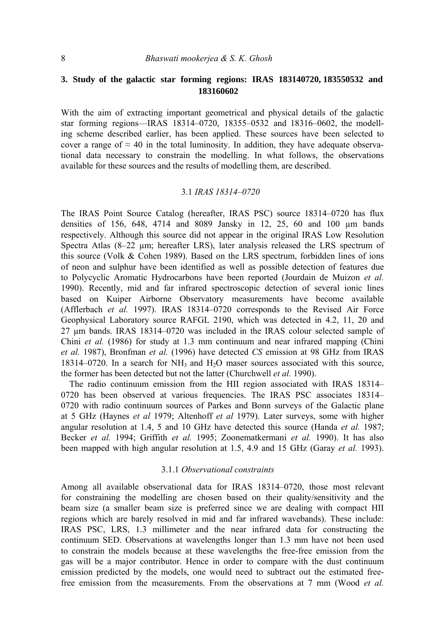# **3. Study of the galactic star forming regions: IRAS 183140720, 183550532 and 183160602**

With the aim of extracting important geometrical and physical details of the galactic star forming regions—IRAS 18314–0720, 18355–0532 and 18316–0602, the modelling scheme described earlier, has been applied. These sources have been selected to cover a range of  $\approx$  40 in the total luminosity. In addition, they have adequate observational data necessary to constrain the modelling. In what follows, the observations available for these sources and the results of modelling them, are described.

### 3.1 *IRAS 18314–0720*

The IRAS Point Source Catalog (hereafter, IRAS PSC) source 18314–0720 has flux densities of 156, 648, 4714 and 8089 Jansky in 12, 25, 60 and 100 µm bands respectively. Although this source did not appear in the original IRAS Low Resolution Spectra Atlas  $(8-22 \mu m)$ ; hereafter LRS), later analysis released the LRS spectrum of this source (Volk & Cohen 1989). Based on the LRS spectrum, forbidden lines of ions of neon and sulphur have been identified as well as possible detection of features due to Polycyclic Aromatic Hydrocarbons have been reported (Jourdain de Muizon *et al.*  1990). Recently, mid and far infrared spectroscopic detection of several ionic lines based on Kuiper Airborne Observatory measurements have become available (Afflerbach *et al.* 1997). IRAS 18314–0720 corresponds to the Revised Air Force Geophysical Laboratory source RAFGL 2190, which was detected in 4.2, 11, 20 and 27 µm bands. IRAS 18314–0720 was included in the IRAS colour selected sample of Chini *et al.* (1986) for study at 1.3 mm continuum and near infrared mapping (Chini *et al.* 1987), Bronfman *et al.* (1996) have detected *CS* emission at 98 GHz from IRAS 18314–0720. In a search for  $NH_3$  and  $H_2O$  maser sources associated with this source, the former has been detected but not the latter (Churchwell *et al.* 1990).

The radio continuum emission from the HII region associated with IRAS 18314– 0720 has been observed at various frequencies. The IRAS PSC associates 18314– 0720 with radio continuum sources of Parkes and Bonn surveys of the Galactic plane at 5 GHz (Haynes *et al* 1979; Altenhoff *et al* 1979). Later surveys, some with higher angular resolution at 1.4, 5 and 10 GHz have detected this source (Handa *et al.* 1987; Becker *et al.* 1994; Griffith *et al.* 1995; Zoonematkermani *et al.* 1990). It has also been mapped with high angular resolution at 1.5, 4.9 and 15 GHz (Garay *et al.* 1993).

# 3.1.1 *Observational constraints*

Among all available observational data for IRAS 18314–0720, those most relevant for constraining the modelling are chosen based on their quality/sensitivity and the beam size (a smaller beam size is preferred since we are dealing with compact HII regions which are barely resolved in mid and far infrared wavebands). These include: IRAS PSC, LRS, 1.3 millimeter and the near infrared data for constructing the continuum SED. Observations at wavelengths longer than 1.3 mm have not been used to constrain the models because at these wavelengths the free-free emission from the gas will be a major contributor. Hence in order to compare with the dust continuum emission predicted by the models, one would need to subtract out the estimated freefree emission from the measurements. From the observations at 7 mm (Wood *et al.*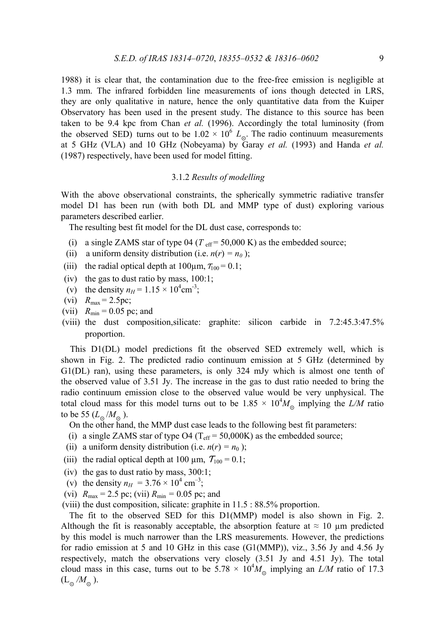1988) it is clear that, the contamination due to the free-free emission is negligible at 1.3 mm. The infrared forbidden line measurements of ions though detected in LRS, they are only qualitative in nature, hence the only quantitative data from the Kuiper Observatory has been used in the present study. The distance to this source has been taken to be 9.4 kpc from Chan *et al.* (1996). Accordingly the total luminosity (from the observed SED) turns out to be  $1.02 \times 10^6$  L<sub>o</sub>. The radio continuum measurements at 5 GHz (VLA) and 10 GHz (Nobeyama) by Garay *et al.* (1993) and Handa *et al.*  (1987) respectively, have been used for model fitting.

# 3.1.2 *Results of modelling*

With the above observational constraints, the spherically symmetric radiative transfer model D1 has been run (with both DL and MMP type of dust) exploring various parameters described earlier.

The resulting best fit model for the DL dust case, corresponds to:

- (i) a single ZAMS star of type  $04$  ( $T_{\text{eff}}$  = 50,000 K) as the embedded source;
- (ii) a uniform density distribution (i.e.  $n(r) = n_0$ );
- (iii) the radial optical depth at  $100\mu$ m,  $\tau_{100} = 0.1$ ;
- (iv) the gas to dust ratio by mass,  $100:1$ ;
- (v) the density  $n_H = 1.15 \times 10^4 \text{cm}^{-3}$ ;
- (vi)  $R_{\text{max}} = 2.5 \text{pc}$ ;
- (vii)  $R_{\text{min}} = 0.05$  pc; and
- (viii) the dust composition,silicate: graphite: silicon carbide in 7.2:45.3:47.5% proportion.

This D1(DL) model predictions fit the observed SED extremely well, which is shown in Fig. 2. The predicted radio continuum emission at 5 GHz (determined by G1(DL) ran), using these parameters, is only 324 mJy which is almost one tenth of the observed value of 3.51 Jy. The increase in the gas to dust ratio needed to bring the radio continuum emission close to the observed value would be very unphysical. The total cloud mass for this model turns out to be  $1.85 \times 10^4 M_{\odot}$  implying the *L/M* ratio to be 55  $(L_0/M_0)$ .

On the other hand, the MMP dust case leads to the following best fit parameters:

- (i) a single ZAMS star of type O4 ( $T_{\text{eff}}$  = 50,000K) as the embedded source;
- (ii) a uniform density distribution (i.e.  $n(r) = n_0$ );
- (iii) the radial optical depth at 100  $\mu$ m,  $T_{100} = 0.1$ ;
- (iv) the gas to dust ratio by mass, 300:1;
- (v) the density  $n_H = 3.76 \times 10^4$  cm<sup>-3</sup>;
- (vi)  $R_{\text{max}} = 2.5 \text{ pc}$ ; (vii)  $R_{\text{min}} = 0.05 \text{ pc}$ ; and

(viii) the dust composition, silicate: graphite in 11.5 : 88.5% proportion.

The fit to the observed SED for this D1(MMP) model is also shown in Fig. 2. Although the fit is reasonably acceptable, the absorption feature at  $\approx 10 \mu$ m predicted by this model is much narrower than the LRS measurements. However, the predictions for radio emission at 5 and 10 GHz in this case (G1(MMP)), viz., 3.56 Jy and 4.56 Jy respectively, match the observations very closely (3.51 Jy and 4.51 Jy). The total cloud mass in this case, turns out to be  $5.78 \times 10^4 M_{\odot}$  implying an *L/M* ratio of 17.3  $(L_{\alpha} / M_{\odot})$ .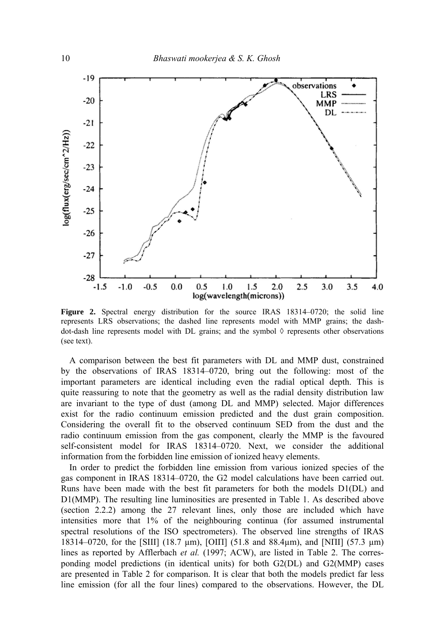

**Figure 2.** Spectral energy distribution for the source IRAS 18314–0720; the solid line represents LRS observations; the dashed line represents model with MMP grains; the dashdot-dash line represents model with DL grains; and the symbol  $\Diamond$  represents other observations (see text).

A comparison between the best fit parameters with DL and MMP dust, constrained by the observations of IRAS 18314–0720, bring out the following: most of the important parameters are identical including even the radial optical depth. This is quite reassuring to note that the geometry as well as the radial density distribution law are invariant to the type of dust (among DL and MMP) selected. Major differences exist for the radio continuum emission predicted and the dust grain composition. Considering the overall fit to the observed continuum SED from the dust and the radio continuum emission from the gas component, clearly the MMP is the favoured self-consistent model for IRAS 18314–0720. Next, we consider the additional information from the forbidden line emission of ionized heavy elements.

In order to predict the forbidden line emission from various ionized species of the gas component in IRAS 18314–0720, the G2 model calculations have been carried out. Runs have been made with the best fit parameters for both the models D1(DL) and D1(MMP). The resulting line luminosities are presented in Table 1. As described above (section 2.2.2) among the 27 relevant lines, only those are included which have intensities more that 1% of the neighbouring continua (for assumed instrumental spectral resolutions of the ISO spectrometers). The observed line strengths of IRAS 18314–0720, for the [SIII] (18.7 µm), [ΟΙΠ] (51.8 and 88.4µm), and [ΝΠΙ] (57.3 µm) lines as reported by Afflerbach et al. (1997; ACW), are listed in Table 2. The corresponding model predictions (in identical units) for both G2(DL) and G2(MMP) cases are presented in Table 2 for comparison. It is clear that both the models predict far less line emission (for all the four lines) compared to the observations. However, the DL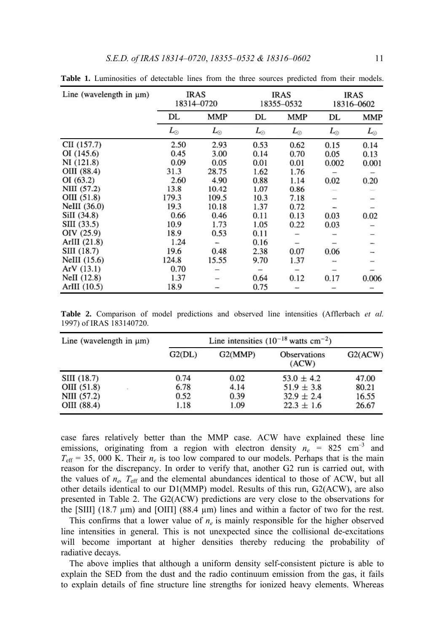| Line (wavelength in $\mu$ m) | <b>IRAS</b><br>18314-0720 |             | <b>IRAS</b><br>18355-0532 |             | <b>IRAS</b><br>18316-0602 |             |
|------------------------------|---------------------------|-------------|---------------------------|-------------|---------------------------|-------------|
|                              | DL                        | <b>MMP</b>  | DL                        | <b>MMP</b>  | DL                        | <b>MMP</b>  |
|                              | $L_{\odot}$               | $L_{\odot}$ | $L_{\odot}$               | $L_{\odot}$ | $L_{\odot}$               | $L_{\odot}$ |
| CII (157.7)                  | 2.50                      | 2.93        | 0.53                      | 0.62        | 0.15                      | 0.14        |
| OI (145.6)                   | 0.45                      | 3.00        | 0.14                      | 0.70        | 0.05                      | 0.13        |
| NI(121.8)                    | 0.09                      | 0.05        | 0.01                      | 0.01        | 0.002                     | 0.001       |
| OIII (88.4)                  | 31.3                      | 28.75       | 1.62                      | 1.76        |                           |             |
| OI(63.2)                     | 2.60                      | 4.90        | 0.88                      | 1.14        | 0.02                      | 0.20        |
| NIII (57.2)                  | 13.8                      | 10.42       | 1.07                      | 0.86        |                           |             |
| OIII (51.8)                  | 179.3                     | 109.5       | 10.3                      | 7.18        |                           |             |
| NeIII $(36.0)$               | 19.3                      | 10.18       | 1.37                      | 0.72        |                           |             |
| SiII (34.8)                  | 0.66                      | 0.46        | 0.11                      | 0.13        | 0.03                      | 0.02        |
| SIII (33.5)                  | 10.9                      | 1.73        | 1.05                      | 0.22        | 0.03                      |             |
| OIV (25.9)                   | 18.9                      | 0.53        | 0.11                      |             |                           |             |
| ArIII $(21.8)$               | 1.24                      | -           | 0.16                      |             |                           |             |
| SIII (18.7)                  | 19.6                      | 0.48        | 2.38                      | 0.07        | 0.06                      |             |
| NeIII $(15.6)$               | 124.8                     | 15.55       | 9.70                      | 1.37        |                           |             |
| ArV(13.1)                    | 0.70                      |             |                           |             |                           |             |
| NeII $(12.8)$                | 1.37                      |             | 0.64                      | 0.12        | 0.17                      | 0.006       |
| ArIII $(10.5)$               | 18.9                      |             | 0.75                      |             |                           |             |

**Table 1.** Luminosities of detectable lines from the three sources predicted from their models.

**Table 2.** Comparison of model predictions and observed line intensities (Afflerbach *et αl.*  1997) of IRAS 183140720.

| Line (wavelength in $\mu$ m)                                        |                              |                              |                                                                      |                                  |
|---------------------------------------------------------------------|------------------------------|------------------------------|----------------------------------------------------------------------|----------------------------------|
|                                                                     | G2(DL)                       | G2(MMP)                      | <b>Observations</b><br>(ACW)                                         | G2(ACW)                          |
| SIII (18.7)<br>OIII (51.8)<br>$\cdot$<br>NIII (57.2)<br>OIII (88.4) | 0.74<br>6.78<br>0.52<br>1.18 | 0.02<br>4.14<br>0.39<br>1.09 | $53.0 \pm 4.2$<br>$51.9 \pm 3.8$<br>$32.9 \pm 2.4$<br>$22.3 \pm 1.6$ | 47.00<br>80.21<br>16.55<br>26.67 |

case fares relatively better than the MMP case. ACW have explained these line emissions, originating from a region with electron density  $n_e$  = 825 cm<sup>-3</sup> and  $T_{\text{eff}}$  = 35, 000 K. Their  $n_e$  is too low compared to our models. Perhaps that is the main reason for the discrepancy. In order to verify that, another G2 run is carried out, with the values of  $n_e$ ,  $T_{\text{eff}}$  and the elemental abundances identical to those of ACW, but all other details identical to our D1(MMP) model. Results of this run, G2(ACW), are also presented in Table 2. The G2(ACW) predictions are very close to the observations for the [SIII] (18.7 μm) and [OIII] (88.4 μm) lines and within a factor of two for the rest.

This confirms that a lower value of  $n_e$  is mainly responsible for the higher observed line intensities in general. This is not unexpected since the collisional de-excitations will become important at higher densities thereby reducing the probability of radiative decays.

The above implies that although a uniform density self-consistent picture is able to explain the SED from the dust and the radio continuum emission from the gas, it fails to explain details of fine structure line strengths for ionized heavy elements. Whereas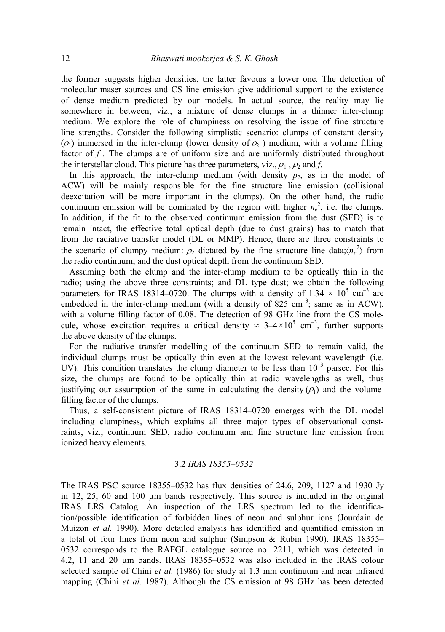the former suggests higher densities, the latter favours a lower one. The detection of molecular maser sources and CS line emission give additional support to the existence of dense medium predicted by our models. In actual source, the reality may lie somewhere in between, viz., a mixture of dense clumps in a thinner inter-clump medium. We explore the role of clumpiness on resolving the issue of fine structure line strengths. Consider the following simplistic scenario: clumps of constant density  $(\rho_1)$  immersed in the inter-clump (lower density of  $\rho_2$ ) medium, with a volume filling factor of f. The clumps are of uniform size and are uniformly distributed throughout the interstellar cloud. This picture has three parameters, viz.,  $\rho_1$ ,  $\rho_2$  and *f*.

In this approach, the inter-clump medium (with density  $p_2$ , as in the model of ACW) will be mainly responsible for the fine structure line emission (collisional deexcitation will be more important in the clumps). On the other hand, the radio continuum emission will be dominated by the region with higher  $n_e^2$ , i.e. the clumps. In addition, if the fit to the observed continuum emission from the dust (SED) is to remain intact, the effective total optical depth (due to dust grains) has to match that from the radiative transfer model (DL or MMP). Hence, there are three constraints to the scenario of clumpy medium:  $\rho_2$  dictated by the fine structure line data; $\langle n_e^2 \rangle$  from the radio continuum; and the dust optical depth from the continuum SED.

Assuming both the clump and the inter-clump medium to be optically thin in the radio; using the above three constraints; and DL type dust; we obtain the following parameters for IRAS 18314–0720. The clumps with a density of  $1.34 \times 10^5$  cm<sup>-3</sup> are embedded in the inter-clump medium (with a density of 825 cm<sup>-3</sup>; same as in ACW), with a volume filling factor of 0.08. The detection of 98 GHz line from the CS molecule, whose excitation requires a critical density  $\approx 3-4\times10^5$  cm<sup>-3</sup>, further supports the above density of the clumps.

For the radiative transfer modelling of the continuum SED to remain valid, the individual clumps must be optically thin even at the lowest relevant wavelength (i.e. UV). This condition translates the clump diameter to be less than  $10^{-3}$  parsec. For this size, the clumps are found to be optically thin at radio wavelengths as well, thus justifying our assumption of the same in calculating the density  $(\rho_1)$  and the volume filling factor of the clumps.

Thus, a self-consistent picture of IRAS 18314–0720 emerges with the DL model including clumpiness, which explains all three major types of observational constraints, viz., continuum SED, radio continuum and fine structure line emission from ionized heavy elements.

### 3.2 *IRAS 18355–0532*

The IRAS PSC source 18355–0532 has flux densities of 24.6, 209, 1127 and 1930 Jy in 12, 25, 60 and 100 µm bands respectively. This source is included in the original IRAS LRS Catalog. An inspection of the LRS spectrum led to the identification/possible identification of forbidden lines of neon and sulphur ions (Jourdain de Muizon *et al.* 1990). More detailed analysis has identified and quantified emission in a total of four lines from neon and sulphur (Simpson & Rubin 1990). IRAS 18355– 0532 corresponds to the RAFGL catalogue source no. 2211, which was detected in 4.2, 11 and 20 µm bands. IRAS 18355–0532 was also included in the IRAS colour selected sample of Chini *et al.* (1986) for study at 1.3 mm continuum and near infrared mapping (Chini *et al.* 1987). Although the CS emission at 98 GHz has been detected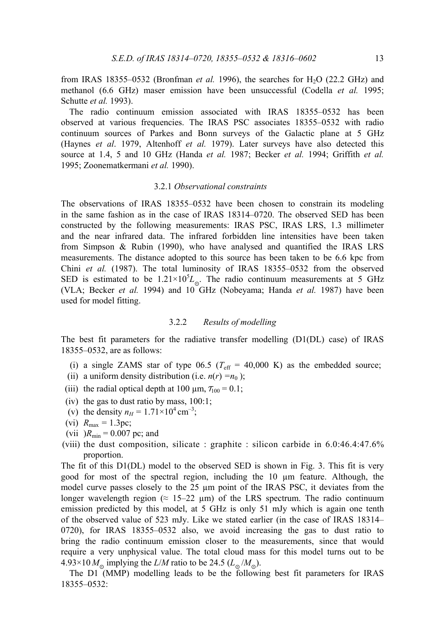from IRAS 18355–0532 (Bronfman *et al.* 1996), the searches for H<sub>2</sub>O (22.2 GHz) and methanol (6.6 GHz) maser emission have been unsuccessful (Codella *et al.* 1995; Schutte *et al.* 1993).

The radio continuum emission associated with IRAS 18355–0532 has been observed at various frequencies. The IRAS PSC associates 18355–0532 with radio continuum sources of Parkes and Bonn surveys of the Galactic plane at 5 GHz (Haynes *et al*. 1979, Altenhoff *et al.* 1979). Later surveys have also detected this source at 1.4, 5 and 10 GHz (Handa *et al.* 1987; Becker *et al.* 1994; Griffith *et al.*  1995; Zoonematkermani *et al.* 1990).

#### 3.2.1 *Observational constraints*

The observations of IRAS 18355–0532 have been chosen to constrain its modeling in the same fashion as in the case of IRAS 18314–0720. The observed SED has been constructed by the following measurements: IRAS PSC, IRAS LRS, 1.3 millimeter and the near infrared data. The infrared forbidden line intensities have been taken from Simpson & Rubin (1990), who have analysed and quantified the IRAS LRS measurements. The distance adopted to this source has been taken to be 6.6 kpc from Chini *et al.* (1987). The total luminosity of IRAS 18355–0532 from the observed SED is estimated to be  $1.21 \times 10^5 L_{\odot}$ . The radio continuum measurements at 5 GHz (VLA; Becker *et al.* 1994) and 10 GHz (Nobeyama; Handa *et al.* 1987) have been used for model fitting.

# 3.2.2 *Results of modelling*

The best fit parameters for the radiative transfer modelling (D1(DL) case) of IRAS 18355–0532, are as follows:

- (i) a single ZAMS star of type  $06.5$  ( $T_{\text{eff}}$  = 40,000 K) as the embedded source;
- (ii) a uniform density distribution (i.e.  $n(r) = n_0$ );
- (iii) the radial optical depth at 100  $\mu$ m,  $\tau_{100} = 0.1$ ;
- (iv) the gas to dust ratio by mass, 100:1;
- (v) the density  $n_H = 1.71 \times 10^4 \text{ cm}^{-3}$ ;
- (vi)  $R_{\text{max}} = 1.3 \text{pc}$ ;
- (vii)  $R_{\text{min}} = 0.007$  pc; and
- (viii) the dust composition, silicate : graphite : silicon carbide in 6.0:46.4:47.6% proportion.

The fit of this D1(DL) model to the observed SED is shown in Fig. 3. This fit is very good for most of the spectral region, including the 10 µm feature. Although, the model curve passes closely to the  $25 \mu m$  point of the IRAS PSC, it deviates from the longer wavelength region ( $\approx$  15–22  $\mu$ m) of the LRS spectrum. The radio continuum emission predicted by this model, at 5 GHz is only 51 mJy which is again one tenth of the observed value of 523 mJy. Like we stated earlier (in the case of IRAS 18314– 0720), for IRAS 18355–0532 also, we avoid increasing the gas to dust ratio to bring the radio continuum emission closer to the measurements, since that would require a very unphysical value. The total cloud mass for this model turns out to be  $4.93 \times 10 M_{\odot}$  implying the *L/M* ratio to be 24.5 ( $L_{\odot}$ / $M_{\odot}$ ).

The D1 (MMP) modelling leads to be the following best fit parameters for IRAS 18355–0532: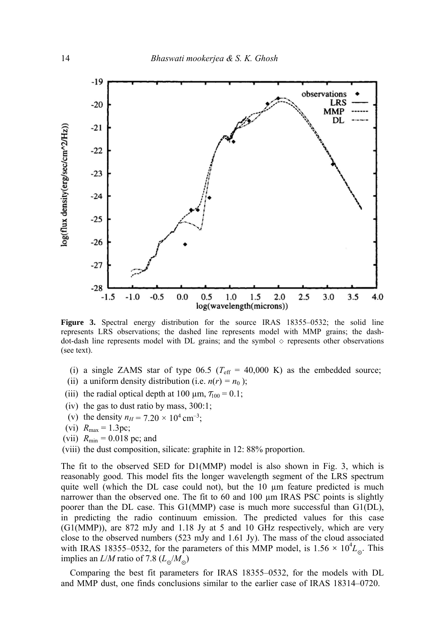

**Figure 3.** Spectral energy distribution for the source IRAS 18355–0532; the solid line represents LRS observations; the dashed line represents model with MMP grains; the dashdot-dash line represents model with DL grains; and the symbol  $\diamond$  represents other observations (see text).

- (i) a single ZAMS star of type  $06.5$  ( $T_{\text{eff}}$  = 40,000 K) as the embedded source;
- (ii) a uniform density distribution (i.e.  $n(r) = n_0$ );
- (iii) the radial optical depth at 100  $\mu$ m,  $\tau_{100} = 0.1$ ;
- (iv) the gas to dust ratio by mass, 300:1;
- (v) the density  $n_H = 7.20 \times 10^4 \text{ cm}^{-3}$ ;
- (vi)  $R_{\text{max}} = 1.3 \text{pc}$ ;
- (vii)  $R_{\text{min}} = 0.018 \text{ pc}$ ; and
- (viii) the dust composition, silicate: graphite in 12: 88% proportion.

The fit to the observed SED for D1(MMP) model is also shown in Fig. 3, which is reasonably good. This model fits the longer wavelength segment of the LRS spectrum quite well (which the DL case could not), but the  $10 \mu m$  feature predicted is much narrower than the observed one. The fit to 60 and 100  $\mu$ m IRAS PSC points is slightly poorer than the DL case. This G1(MMP) case is much more successful than G1(DL), in predicting the radio continuum emission. The predicted values for this case (G1(MMP)), are 872 mJy and 1.18 Jy at 5 and 10 GHz respectively, which are very close to the observed numbers (523 mJy and 1.61 Jy). The mass of the cloud associated with IRAS 18355–0532, for the parameters of this MMP model, is  $1.56 \times 10^4 L_{\odot}$ . This implies an  $L/M$  ratio of 7.8 ( $L_{\odot}/M_{\odot}$ )

Comparing the best fit parameters for IRAS 18355–0532, for the models with DL and MMP dust, one finds conclusions similar to the earlier case of IRAS 18314–0720.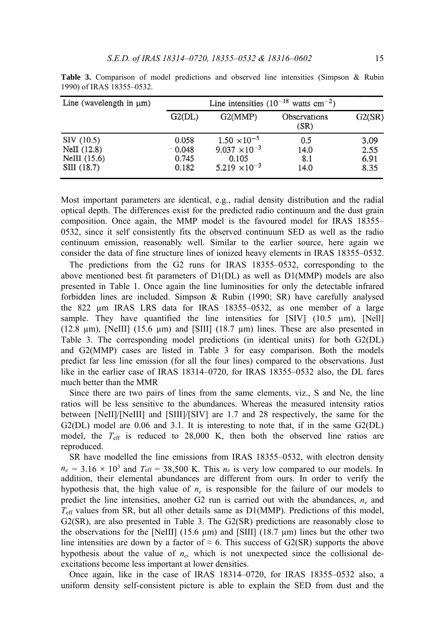| Line (wavelength in $\mu$ m)                                 | Line intensities $(10^{-18} \text{ watts cm}^{-2})$ |                                                                                    |                            |                              |
|--------------------------------------------------------------|-----------------------------------------------------|------------------------------------------------------------------------------------|----------------------------|------------------------------|
|                                                              | G2(DL)                                              | G2(MMP)                                                                            | Observations<br>(SR)       | G2(SR)                       |
| SIV (10.5)<br>NeII $(12.8)$<br>$NellI$ (15.6)<br>SIII (18.7) | 0.058<br>.0.048<br>0.745<br>0.182                   | $1.50 \times 10^{-5}$<br>$9.037 \times 10^{-3}$<br>0.105<br>$5.219 \times 10^{-3}$ | 0.5<br>14.0<br>8.1<br>14.0 | 3.09<br>2.55<br>6.91<br>8.35 |

**Table 3.** Comparison of model predictions and observed line intensities (Simpson & Rubin 1990) of IRAS 18355–0532.

Most important parameters are identical, e.g., radial density distribution and the radial optical depth. The differences exist for the predicted radio continuum and the dust grain composition. Once again, the MMP model is the favoured model for IRAS 18355– 0532, since it self consistently fits the observed continuum SED as well as the radio continuum emission, reasonably well. Similar to the earlier source, here again we consider the data of fine structure lines of ionized heavy elements in IRAS 18355–0532.

The predictions from the G2 runs for IRAS 18355–0532, corresponding to the above mentioned best fit parameters of  $D1(DL)$  as well as  $D1(MMP)$  models are also presented in Table 1. Once again the line luminosities for only the detectable infrared forbidden lines are included. Simpson & Rubin (1990; SR) have carefully analysed the 822 µm IRAS LRS data for IRAS 18355–0532, as one member of a large sample. They have quantified the line intensities for  $[SIV]$  (10.5  $\mu$ m),  $[Nell]$ (12.8  $\mu$ m), [NeIII] (15.6  $\mu$ m) and [SIII] (18.7  $\mu$ m) lines. These are also presented in Table 3. The corresponding model predictions (in identical units) for both G2(DL) and G2(MMP) cases are listed in Table 3 for easy comparison. Both the models predict far less line emission (for all the four lines) compared to the observations. Just like in the earlier case of IRAS 18314–0720, for IRAS 18355–0532 also, the DL fares much better than the MMR

Since there are two pairs of lines from the same elements, viz., S and Ne, the line ratios will be less sensitive to the abundances. Whereas the measured intensity ratios between [NeII]/[NeIII] and [SIII]/[SIV] are 1.7 and 28 respectively, the same for the G2(DL) model are 0.06 and 3.1. It is interesting to note that, if in the same G2(DL) model, the  $T_{\text{eff}}$  is reduced to 28,000 K, then both the observed line ratios are reproduced.

SR have modelled the line emissions from IRAS 18355–0532, with electron density  $n_e = 3.16 \times 10^3$  and  $T_{\text{eff}} = 38,500$  K. This  $n_e$  is very low compared to our models. In addition, their elemental abundances are different from ours. In order to verify the hypothesis that, the high value of  $n_e$  is responsible for the failure of our models to predict the line intensities, another G2 run is carried out with the abundances,  $n_e$  and *T*eff values from SR, but all other details same as D1(MMP). Predictions of this model, G2(SR), are also presented in Table 3. The G2(SR) predictions are reasonably close to the observations for the [NeIII] (15.6  $\mu$ m) and [SIII] (18.7  $\mu$ m) lines but the other two line intensities are down by a factor of  $\approx$  6. This success of G2(SR) supports the above hypothesis about the value of *ne,* which is not unexpected since the collisional deexcitations become less important at lower densities.

Once again, like in the case of IRAS 18314–0720, for IRAS 18355–0532 also, a uniform density self-consistent picture is able to explain the SED from dust and the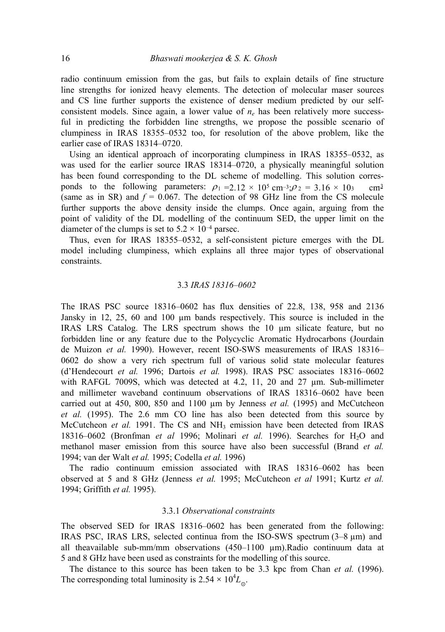radio continuum emission from the gas, but fails to explain details of fine structure line strengths for ionized heavy elements. The detection of molecular maser sources and CS line further supports the existence of denser medium predicted by our selfconsistent models. Since again, a lower value of  $n_e$  has been relatively more successful in predicting the forbidden line strengths, we propose the possible scenario of clumpiness in IRAS 18355–0532 too, for resolution of the above problem, like the earlier case of IRAS 18314–0720.

Using an identical approach of incorporating clumpiness in IRAS 18355–0532, as was used for the earlier source IRAS 18314–0720, a physically meaningful solution has been found corresponding to the DL scheme of modelling. This solution corresponds to the following parameters:  $\rho_1 = 2.12 \times 10^5 \text{ cm}^{-3}$ ;  $\rho_2 = 3.16 \times 10^3 \text{ cm}^3$ (same as in SR) and  $f = 0.067$ . The detection of 98 GHz line from the CS molecule further supports the above density inside the clumps. Once again, arguing from the point of validity of the DL modelling of the continuum SED, the upper limit on the diameter of the clumps is set to  $5.2 \times 10^{-4}$  parsec.

Thus, even for IRAS 18355–0532, a self-consistent picture emerges with the DL model including clumpiness, which explains all three major types of observational constraints.

# 3.3 *IRAS 18316–0602*

The IRAS PSC source 18316–0602 has flux densities of 22.8, 138, 958 and 2136 Jansky in 12, 25, 60 and 100 µm bands respectively. This source is included in the IRAS LRS Catalog. The LRS spectrum shows the 10 µm silicate feature, but no forbidden line or any feature due to the Polycyclic Aromatic Hydrocarbons (Jourdain de Muizon *et al.* 1990). However, recent ISO-SWS measurements of IRAS 18316– 0602 do show a very rich spectrum full of various solid state molecular features (d'Hendecourt *et al.* 1996; Dartois *et al.* 1998). IRAS PSC associates 18316–0602 with RAFGL 7009S, which was detected at 4.2, 11, 20 and 27  $\mu$ m. Sub-millimeter and millimeter waveband continuum observations of IRAS 18316–0602 have been carried out at 450, 800, 850 and 1100 µm by Jenness *et al.* (1995) and McCutcheon *et al.* (1995). The 2.6 mm CO line has also been detected from this source by McCutcheon et al. 1991. The CS and NH<sub>3</sub> emission have been detected from IRAS 18316–0602 (Bronfman *et al* 1996; Molinari *et al.* 1996). Searches for H2O and methanol maser emission from this source have also been successful (Brand *et al.*  1994; van der Walt *et al.* 1995; Codella *et al.* 1996)

The radio continuum emission associated with IRAS 18316–0602 has been observed at 5 and 8 GHz (Jenness *et al.* 1995; McCutcheon *et al* 1991; Kurtz *et al.*  1994; Griffith *et al.* 1995).

# 3.3.1 *Observational constraints*

The observed SED for IRAS 18316–0602 has been generated from the following: IRAS PSC, IRAS LRS, selected continua from the ISO-SWS spectrum  $(3-8 \mu m)$  and all theavailable sub-mm/mm observations (450–1100 µm).Radio continuum data at 5 and 8 GHz have been used as constraints for the modelling of this source.

The distance to this source has been taken to be 3.3 kpc from Chan *et al.* (1996). The corresponding total luminosity is  $2.54 \times 10^4 L_{\odot}$ .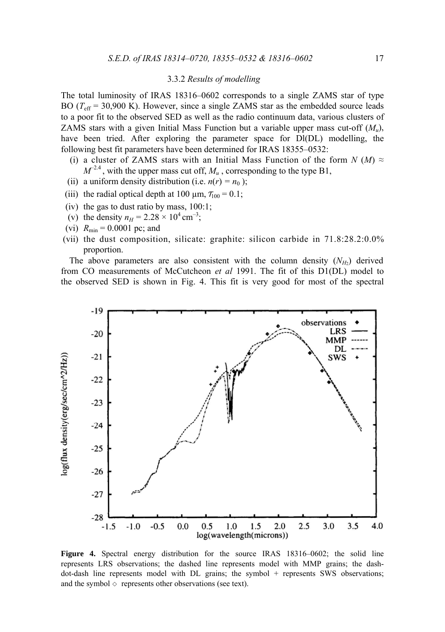# 3.3.2 *Results of modelling*

The total luminosity of IRAS 18316–0602 corresponds to a single ZAMS star of type BO ( $T_{\text{eff}}$  = 30,900 K). However, since a single ZAMS star as the embedded source leads to a poor fit to the observed SED as well as the radio continuum data, various clusters of ZAMS stars with a given Initial Mass Function but a variable upper mass cut-off (*Mu*), have been tried. After exploring the parameter space for Dl(DL) modelling, the following best fit parameters have been determined for IRAS 18355–0532:

- (i) a cluster of ZAMS stars with an Initial Mass Function of the form  $N(M) \approx$  $M^{-2.4}$ , with the upper mass cut off,  $M_u$ , corresponding to the type B1,
- (ii) a uniform density distribution (i.e.  $n(r) = n_0$ );
- (iii) the radial optical depth at 100  $\mu$ m,  $\tau_{100} = 0.1$ ;
- (iv) the gas to dust ratio by mass, 100:1;
- (v) the density  $n_H = 2.28 \times 10^4 \text{ cm}^{-3}$ ;
- (vi)  $R_{\text{min}} = 0.0001$  pc; and
- (vii) the dust composition, silicate: graphite: silicon carbide in 71.8:28.2:0.0% proportion.

The above parameters are also consistent with the column density  $(N_H)$  derived from CO measurements of McCutcheon *et al* 1991. The fit of this D1(DL) model to the observed SED is shown in Fig. 4. This fit is very good for most of the spectral



**Figure 4.** Spectral energy distribution for the source IRAS 18316–0602; the solid line represents LRS observations; the dashed line represents model with MMP grains; the dashdot-dash line represents model with DL grains; the symbol + represents SWS observations; and the symbol  $\Diamond$  represents other observations (see text).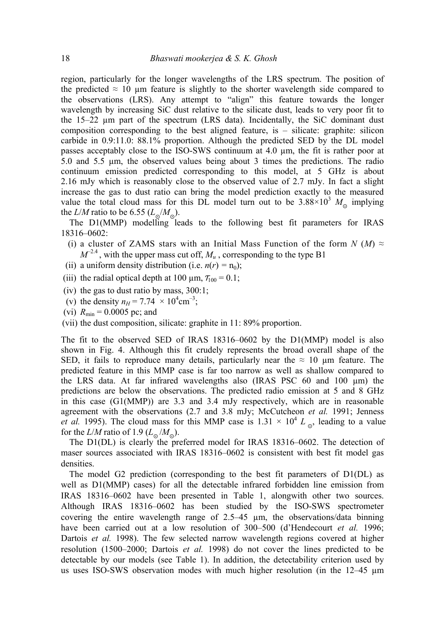region, particularly for the longer wavelengths of the LRS spectrum. The position of the predicted  $\approx$  10 µm feature is slightly to the shorter wavelength side compared to the observations (LRS). Any attempt to "align" this feature towards the longer wavelength by increasing SiC dust relative to the silicate dust, leads to very poor fit to the 15–22 µm part of the spectrum (LRS data). Incidentally, the SiC dominant dust composition corresponding to the best aligned feature, is  $-$  silicate: graphite: silicon carbide in 0.9:11.0: 88.1% proportion. Although the predicted SED by the DL model passes acceptably close to the ISO-SWS continuum at 4.0 µm, the fit is rather poor at 5.0 and 5.5 µm, the observed values being about 3 times the predictions. The radio continuum emission predicted corresponding to this model, at 5 GHz is about 2.16 mJy which is reasonably close to the observed value of 2.7 mJy. In fact a slight increase the gas to dust ratio can bring the model prediction exactly to the measured value the total cloud mass for this DL model turn out to be  $3.88 \times 10^3$  *M* implying the *L*/*M* ratio to be 6.55 ( $L_{\alpha}/M_{\odot}$ ).

The D1(MMP) modelling leads to the following best fit parameters for IRAS 18316–0602:

- (i) a cluster of ZAMS stars with an Initial Mass Function of the form  $N$  (*M*)  $\approx$  $M^{-2.4}$ , with the upper mass cut off,  $M_u$ , corresponding to the type B1
- (ii) a uniform density distribution (i.e.  $n(r) = n_0$ );
- (iii) the radial optical depth at 100  $\mu$ m,  $\tau_{100} = 0.1$ ;
- (iv) the gas to dust ratio by mass,  $300:1$ ;
- (v) the density  $n_H = 7.74 \times 10^4 \text{cm}^{-3}$ ;
- (vi)  $R_{\text{min}} = 0.0005$  pc; and
- (vii) the dust composition, silicate: graphite in 11: 89% proportion.

The fit to the observed SED of IRAS 18316–0602 by the D1(MMP) model is also shown in Fig. 4. Although this fit crudely represents the broad overall shape of the SED, it fails to reproduce many details, particularly near the  $\approx 10$  µm feature. The predicted feature in this MMP case is far too narrow as well as shallow compared to the LRS data. At far infrared wavelengths also (IRAS PSC 60 and 100 µm) the predictions are below the observations. The predicted radio emission at 5 and 8 GHz in this case (G1(MMP)) are 3.3 and 3.4 mJy respectively, which are in reasonable agreement with the observations (2.7 and 3.8 mJy; McCutcheon *et al.* 1991; Jenness *et al.* 1995). The cloud mass for this MMP case is  $1.31 \times 10^4$  *L* ... leading to a value for the *L*/*M* ratio of 1.9 ( $L_{\alpha}/M_{\odot}$ ).

The D1(DL) is clearly the preferred model for IRAS 18316–0602. The detection of maser sources associated with IRAS 18316–0602 is consistent with best fit model gas densities.

The model G2 prediction (corresponding to the best fit parameters of D1(DL) as well as D1(MMP) cases) for all the detectable infrared forbidden line emission from IRAS 18316–0602 have been presented in Table 1, alongwith other two sources. Although IRAS 18316–0602 has been studied by the ISO-SWS spectrometer covering the entire wavelength range of  $2.5-45$  µm, the observations/data binning have been carried out at a low resolution of 300–500 (d'Hendecourt *et al.* 1996; Dartois *et al.* 1998). The few selected narrow wavelength regions covered at higher resolution (1500–2000; Dartois *et al.* 1998) do not cover the lines predicted to be detectable by our models (see Table 1). In addition, the detectability criterion used by us uses ISO-SWS observation modes with much higher resolution (in the 12–45 µm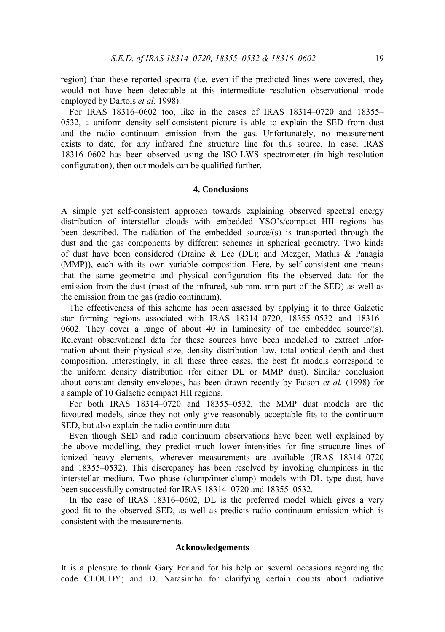region) than these reported spectra (i.e. even if the predicted lines were covered, they would not have been detectable at this intermediate resolution observational mode employed by Dartois *et al.* 1998).

For IRAS 18316–0602 too, like in the cases of IRAS 18314–0720 and 18355– 0532, a uniform density self-consistent picture is able to explain the SED from dust and the radio continuum emission from the gas. Unfortunately, no measurement exists to date, for any infrared fine structure line for this source. In case, IRAS 18316–0602 has been observed using the ISO-LWS spectrometer (in high resolution configuration), then our models can be qualified further.

### **4. Conclusions**

A simple yet self-consistent approach towards explaining observed spectral energy distribution of interstellar clouds with embedded YSO's/compact HII regions has been described. The radiation of the embedded source/(s) is transported through the dust and the gas components by different schemes in spherical geometry. Two kinds of dust have been considered (Draine & Lee (DL); and Mezger, Mathis & Panagia (MMP)), each with its own variable composition. Here, by self-consistent one means that the same geometric and physical configuration fits the observed data for the emission from the dust (most of the infrared, sub-mm, mm part of the SED) as well as the emission from the gas (radio continuum).

The effectiveness of this scheme has been assessed by applying it to three Galactic star forming regions associated with IRAS 18314–0720, 18355–0532 and 18316– 0602. They cover a range of about 40 in luminosity of the embedded source/(s). Relevant observational data for these sources have been modelled to extract information about their physical size, density distribution law, total optical depth and dust composition. Interestingly, in all these three cases, the best fit models correspond to the uniform density distribution (for either DL or MMP dust). Similar conclusion about constant density envelopes, has been drawn recently by Faison *et al.* (1998) for a sample of 10 Galactic compact HII regions.

For both IRAS 18314–0720 and 18355–0532, the MMP dust models are the favoured models, since they not only give reasonably acceptable fits to the continuum SED, but also explain the radio continuum data.

Even though SED and radio continuum observations have been well explained by the above modelling, they predict much lower intensities for fine structure lines of ionized heavy elements, wherever measurements are available (IRAS 18314–0720 and 18355–0532). This discrepancy has been resolved by invoking clumpiness in the interstellar medium. Two phase (clump/inter-clump) models with DL type dust, have been successfully constructed for IRAS 18314–0720 and 18355–0532.

In the case of IRAS 18316–0602, DL is the preferred model which gives a very good fit to the observed SED, as well as predicts radio continuum emission which is consistent with the measurements.

#### **Acknowledgements**

It is a pleasure to thank Gary Ferland for his help on several occasions regarding the code CLOUDY; and D. Narasimha for clarifying certain doubts about radiative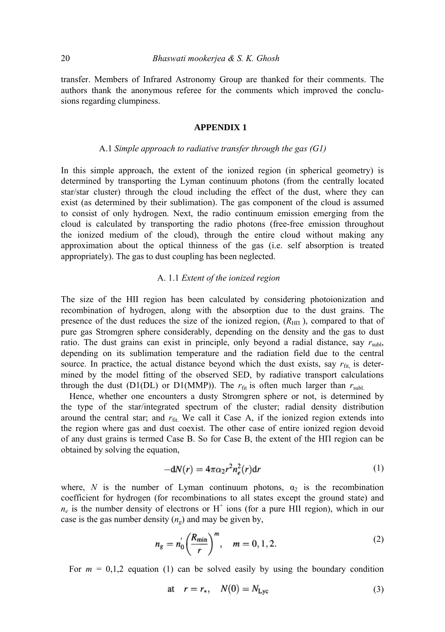transfer. Members of Infrared Astronomy Group are thanked for their comments. The authors thank the anonymous referee for the comments which improved the conclusions regarding clumpiness.

# **APPENDIX 1**

# A.1 *Simple approach to radiative transfer through the gas (G1)*

In this simple approach, the extent of the ionized region (in spherical geometry) is determined by transporting the Lyman continuum photons (from the centrally located star/star cluster) through the cloud including the effect of the dust, where they can exist (as determined by their sublimation). The gas component of the cloud is assumed to consist of only hydrogen. Next, the radio continuum emission emerging from the cloud is calculated by transporting the radio photons (free-free emission throughout the ionized medium of the cloud), through the entire cloud without making any approximation about the optical thinness of the gas (i.e. self absorption is treated appropriately). The gas to dust coupling has been neglected.

# A. 1.1 *Extent of the ionized region*

The size of the HII region has been calculated by considering photoionization and recombination of hydrogen, along with the absorption due to the dust grains. The presence of the dust reduces the size of the ionized region, (*R*ΗΠ ), compared to that of pure gas Stromgren sphere considerably, depending on the density and the gas to dust ratio. The dust grains can exist in principle, only beyond a radial distance, say  $r_{\text{sub}}$ , depending on its sublimation temperature and the radiation field due to the central source. In practice, the actual distance beyond which the dust exists, say  $r_{\text{fit}}$  is determined by the model fitting of the observed SED, by radiative transport calculations through the dust (D1(DL) or D1(MMP)). The  $r_{fit}$  is often much larger than  $r_{sub}$ .

Hence, whether one encounters a dusty Stromgren sphere or not, is determined by the type of the star/integrated spectrum of the cluster; radial density distribution around the central star; and  $r<sub>fit</sub>$ . We call it Case A, if the ionized region extends into the region where gas and dust coexist. The other case of entire ionized region devoid of any dust grains is termed Case B. So for Case B, the extent of the ΗΠ region can be obtained by solving the equation,

$$
-dN(r) = 4\pi\alpha_2 r^2 n_e^2(r) dr \tag{1}
$$

where, *N* is the number of Lyman continuum photons,  $\alpha_2$  is the recombination coefficient for hydrogen (for recombinations to all states except the ground state) and  $n_e$  is the number density of electrons or  $H^+$  ions (for a pure HII region), which in our case is the gas number density  $(n_e)$  and may be given by,

$$
n_g = n'_0 \left(\frac{R_{\min}}{r}\right)^m, \quad m = 0, 1, 2. \tag{2}
$$

For  $m = 0,1,2$  equation (1) can be solved easily by using the boundary condition

$$
\text{at} \quad r = r_*, \quad N(0) = N_{\text{Lyc}} \tag{3}
$$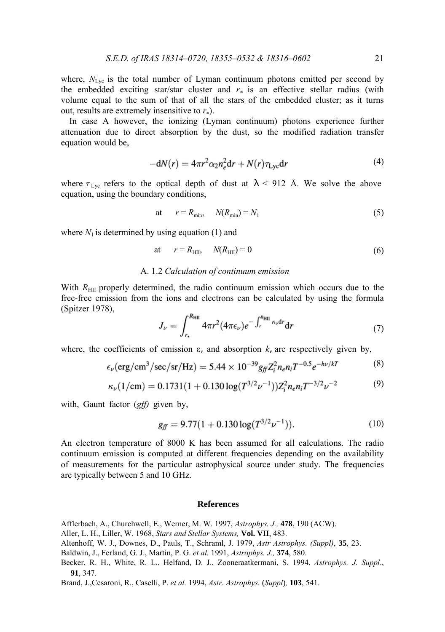where,  $N_{\text{Lyc}}$  is the total number of Lyman continuum photons emitted per second by the embedded exciting star/star cluster and  $r_*$  is an effective stellar radius (with volume equal to the sum of that of all the stars of the embedded cluster; as it turns out, results are extremely insensitive to  $r_{*}$ ).

In case A however, the ionizing (Lyman continuum) photons experience further attenuation due to direct absorption by the dust, so the modified radiation transfer equation would be,

$$
-dN(r) = 4\pi r^2 \alpha_2 n_e^2 dr + N(r) \tau_{\text{Lyc}} dr \tag{4}
$$

where  $\tau_{\text{Lyc}}$  refers to the optical depth of dust at  $\lambda$  < 912 Å. We solve the above equation, using the boundary conditions,

at 
$$
r = R_{\min}, \quad N(R_{\min}) = N_1
$$
 (5)

where  $N_1$  is determined by using equation (1) and

$$
at \t r = R_{\text{HII}}, \t N(R_{\text{HII}}) = 0 \t (6)
$$

# A. 1.2 *Calculation of continuum emission*

With  $R_{\text{HII}}$  properly determined, the radio continuum emission which occurs due to the free-free emission from the ions and electrons can be calculated by using the formula (Spitzer 1978),

$$
J_{\nu} = \int_{r_{\star}}^{R_{\rm HII}} 4\pi r^2 (4\pi\epsilon_{\nu}) e^{-\int_{r}^{R_{\rm HII}} \kappa_{\nu} dr} dr \tag{7}
$$

where, the coefficients of emission  $\varepsilon$ <sub>*v*</sub> and absorption  $k$ <sub>*v*</sub> are respectively given by,

$$
\epsilon_{\nu} (erg/cm^3/sec/sr/Hz) = 5.44 \times 10^{-39} g_{ff} Z_i^2 n_e n_i T^{-0.5} e^{-h\nu/kT}
$$
 (8)

$$
\kappa_{\nu}(1/\text{cm}) = 0.1731(1+0.130\log(T^{3/2}\nu^{-1}))Z_i^2 n_e n_i T^{-3/2}\nu^{-2}
$$
 (9)

with, Gaunt factor (*gff)* given by,

$$
g_{ff} = 9.77(1 + 0.130 \log(T^{3/2} \nu^{-1})). \tag{10}
$$

An electron temperature of 8000 Κ has been assumed for all calculations. The radio continuum emission is computed at different frequencies depending on the availability of measurements for the particular astrophysical source under study. The frequencies are typically between 5 and 10 GHz.

## **References**

Afflerbach, Α., Churchwell, E., Werner, M. W. 1997, *Astrophys. J.,* **478**, 190 (ACW).

Aller, L. H., Liller, W. 1968, *Stars and Stellar Systems,* **Vol. VII**, 483.

Altenhoff, W. J., Downes, D., Pauls, T., Schraml, J. 1979, *Astr Astrophys. (Suppl)*, **35**, 23.

Baldwin, J., Ferland, G. J., Martin, P. G. *et al.* 1991, *Astrophys. J.,* **374**, 580.

Becker, R. H., White, R. L., Helfand, D. J., Zooneraatkermani, S. 1994, *Astrophys. J. Suppl*., **91**, 347.

Brand, J.,Cesaroni, R., Caselli, P. *et al.* 1994, *Astr. Astrophys.* (*Suppl*)*,* **103**, 541. ,,